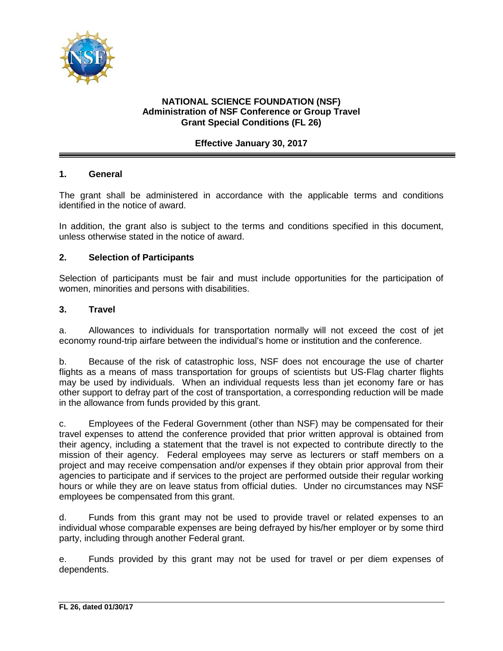

## **NATIONAL SCIENCE FOUNDATION (NSF) Administration of NSF Conference or Group Travel Grant Special Conditions (FL 26)**

## **Effective January 30, 2017**

### **1. General**

The grant shall be administered in accordance with the applicable terms and conditions identified in the notice of award.

In addition, the grant also is subject to the terms and conditions specified in this document, unless otherwise stated in the notice of award.

### **2. Selection of Participants**

Selection of participants must be fair and must include opportunities for the participation of women, minorities and persons with disabilities.

#### **3. Travel**

a. Allowances to individuals for transportation normally will not exceed the cost of jet economy round-trip airfare between the individual's home or institution and the conference.

b. Because of the risk of catastrophic loss, NSF does not encourage the use of charter flights as a means of mass transportation for groups of scientists but US-Flag charter flights may be used by individuals. When an individual requests less than jet economy fare or has other support to defray part of the cost of transportation, a corresponding reduction will be made in the allowance from funds provided by this grant.

c. Employees of the Federal Government (other than NSF) may be compensated for their travel expenses to attend the conference provided that prior written approval is obtained from their agency, including a statement that the travel is not expected to contribute directly to the mission of their agency. Federal employees may serve as lecturers or staff members on a project and may receive compensation and/or expenses if they obtain prior approval from their agencies to participate and if services to the project are performed outside their regular working hours or while they are on leave status from official duties. Under no circumstances may NSF employees be compensated from this grant.

d. Funds from this grant may not be used to provide travel or related expenses to an individual whose comparable expenses are being defrayed by his/her employer or by some third party, including through another Federal grant.

e. Funds provided by this grant may not be used for travel or per diem expenses of dependents.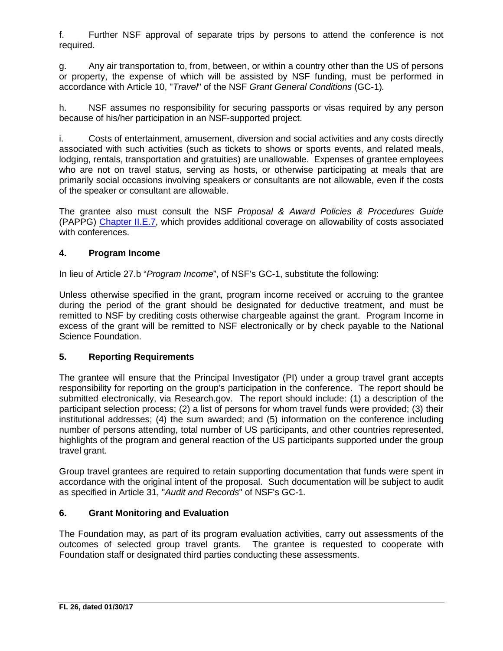f. Further NSF approval of separate trips by persons to attend the conference is not required.

g. Any air transportation to, from, between, or within a country other than the US of persons or property, the expense of which will be assisted by NSF funding, must be performed in accordance with Article 10, "*Travel*" of the NSF *Grant General Conditions* (GC-1)*.*

h. NSF assumes no responsibility for securing passports or visas required by any person because of his/her participation in an NSF-supported project.

i. Costs of entertainment, amusement, diversion and social activities and any costs directly associated with such activities (such as tickets to shows or sports events, and related meals, lodging, rentals, transportation and gratuities) are unallowable. Expenses of grantee employees who are not on travel status, serving as hosts, or otherwise participating at meals that are primarily social occasions involving speakers or consultants are not allowable, even if the costs of the speaker or consultant are allowable.

The grantee also must consult the NSF *Proposal & Award Policies & Procedures Guide* (PAPPG) [Chapter II.E.7,](https://www.nsf.gov/pubs/policydocs/pappg17_1/pappg_2.jsp#IIE7) which provides additional coverage on allowability of costs associated with conferences.

## **4. Program Income**

In lieu of Article 27.b "*Program Income*", of NSF's GC-1, substitute the following:

Unless otherwise specified in the grant, program income received or accruing to the grantee during the period of the grant should be designated for deductive treatment, and must be remitted to NSF by crediting costs otherwise chargeable against the grant. Program Income in excess of the grant will be remitted to NSF electronically or by check payable to the National Science Foundation.

## **5. Reporting Requirements**

The grantee will ensure that the Principal Investigator (PI) under a group travel grant accepts responsibility for reporting on the group's participation in the conference. The report should be submitted electronically, via Research.gov. The report should include: (1) a description of the participant selection process; (2) a list of persons for whom travel funds were provided; (3) their institutional addresses; (4) the sum awarded; and (5) information on the conference including number of persons attending, total number of US participants, and other countries represented, highlights of the program and general reaction of the US participants supported under the group travel grant.

Group travel grantees are required to retain supporting documentation that funds were spent in accordance with the original intent of the proposal. Such documentation will be subject to audit as specified in Article 31, "*Audit and Records*" of NSF's GC-1*.*

## **6. Grant Monitoring and Evaluation**

The Foundation may, as part of its program evaluation activities, carry out assessments of the outcomes of selected group travel grants. The grantee is requested to cooperate with Foundation staff or designated third parties conducting these assessments.